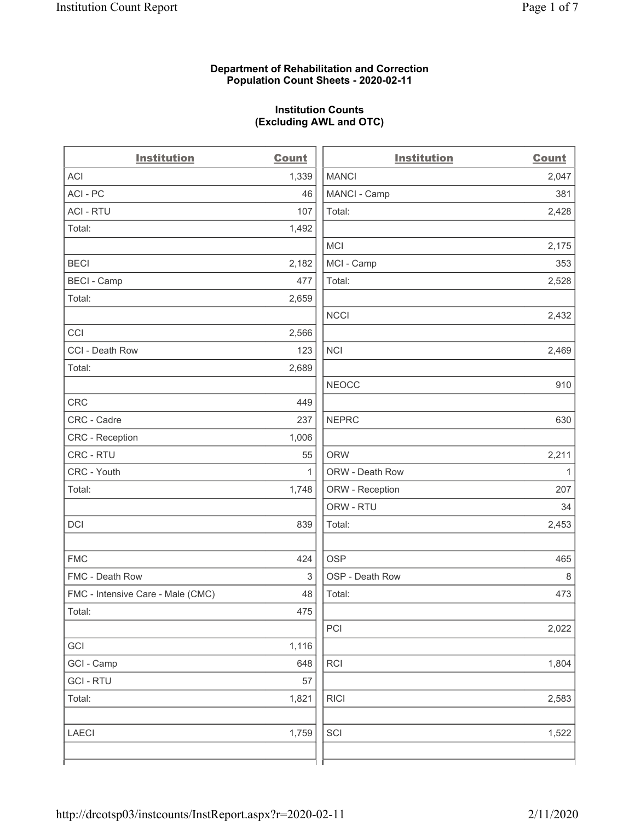### **Department of Rehabilitation and Correction Population Count Sheets - 2020-02-11**

# **Institution Counts (Excluding AWL and OTC)**

 $\overline{a}$ 

| <b>Institution</b>                | <b>Count</b> | <b>Institution</b> | <b>Count</b> |
|-----------------------------------|--------------|--------------------|--------------|
| <b>ACI</b>                        | 1,339        | <b>MANCI</b>       | 2,047        |
| ACI-PC                            | 46           | MANCI - Camp       | 381          |
| <b>ACI - RTU</b>                  | 107          | Total:             | 2,428        |
| Total:                            | 1,492        |                    |              |
|                                   |              | <b>MCI</b>         | 2,175        |
| <b>BECI</b>                       | 2,182        | MCI - Camp         | 353          |
| <b>BECI - Camp</b>                | 477          | Total:             | 2,528        |
| Total:                            | 2,659        |                    |              |
|                                   |              | <b>NCCI</b>        | 2,432        |
| CCI                               | 2,566        |                    |              |
| CCI - Death Row                   | 123          | <b>NCI</b>         | 2,469        |
| Total:                            | 2,689        |                    |              |
|                                   |              | <b>NEOCC</b>       | 910          |
| <b>CRC</b>                        | 449          |                    |              |
| CRC - Cadre                       | 237          | <b>NEPRC</b>       | 630          |
| CRC - Reception                   | 1,006        |                    |              |
| CRC - RTU                         | 55           | <b>ORW</b>         | 2,211        |
| CRC - Youth                       | $\mathbf{1}$ | ORW - Death Row    | $\mathbf{1}$ |
| Total:                            | 1,748        | ORW - Reception    | 207          |
|                                   |              | ORW - RTU          | 34           |
| DCI                               | 839          | Total:             | 2,453        |
| <b>FMC</b>                        | 424          | <b>OSP</b>         | 465          |
| FMC - Death Row                   | 3            | OSP - Death Row    | $\,8\,$      |
| FMC - Intensive Care - Male (CMC) | 48           | Total:             | 473          |
| Total:                            | 475          |                    |              |
|                                   |              | PCI                | 2,022        |
| GCI                               | 1,116        |                    |              |
| GCI - Camp                        | 648          | RCI                | 1,804        |
| <b>GCI-RTU</b>                    | 57           |                    |              |
| Total:                            | 1,821        | <b>RICI</b>        | 2,583        |
| <b>LAECI</b>                      | 1,759        | SCI                | 1,522        |
|                                   |              |                    |              |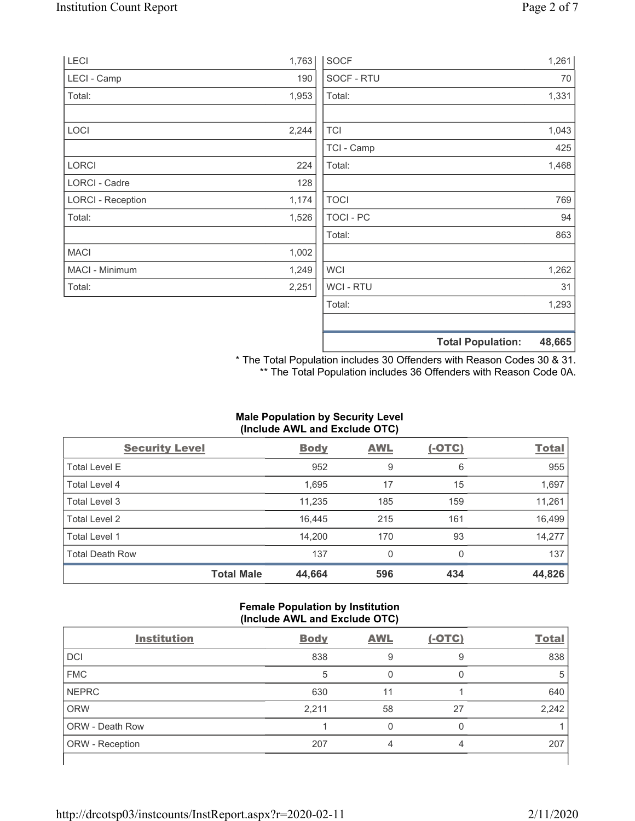| LECI                     | 1,763 | <b>SOCF</b>      | 1,261                              |
|--------------------------|-------|------------------|------------------------------------|
| LECI - Camp              | 190   | SOCF - RTU       | 70                                 |
| Total:                   | 1,953 | Total:           | 1,331                              |
| LOCI                     | 2,244 | <b>TCI</b>       | 1,043                              |
|                          |       | TCI - Camp       | 425                                |
| LORCI                    | 224   | Total:           | 1,468                              |
| LORCI - Cadre            | 128   |                  |                                    |
| <b>LORCI - Reception</b> | 1,174 | <b>TOCI</b>      | 769                                |
| Total:                   | 1,526 | <b>TOCI - PC</b> | 94                                 |
|                          |       | Total:           | 863                                |
| <b>MACI</b>              | 1,002 |                  |                                    |
| MACI - Minimum           | 1,249 | <b>WCI</b>       | 1,262                              |
| Total:                   | 2,251 | WCI - RTU        | 31                                 |
|                          |       | Total:           | 1,293                              |
|                          |       |                  | <b>Total Population:</b><br>48,665 |

\* The Total Population includes 30 Offenders with Reason Codes 30 & 31. \*\* The Total Population includes 36 Offenders with Reason Code 0A.

# **Male Population by Security Level (Include AWL and Exclude OTC)**

| <b>Security Level</b>  |                   | <b>Body</b> | <b>AWL</b> | $(-OTC)$ | <b>Total</b> |
|------------------------|-------------------|-------------|------------|----------|--------------|
| <b>Total Level E</b>   |                   | 952         | 9          | 6        | 955          |
| <b>Total Level 4</b>   |                   | 1,695       | 17         | 15       | 1,697        |
| Total Level 3          |                   | 11,235      | 185        | 159      | 11,261       |
| Total Level 2          |                   | 16.445      | 215        | 161      | 16,499       |
| Total Level 1          |                   | 14,200      | 170        | 93       | 14,277       |
| <b>Total Death Row</b> |                   | 137         | $\Omega$   | $\Omega$ | 137          |
|                        | <b>Total Male</b> | 44,664      | 596        | 434      | 44,826       |

## **Female Population by Institution (Include AWL and Exclude OTC)**

| <b>Institution</b>     | <b>Body</b> | <b>AWL</b> | $(-OTC)$ | <b>Total</b> |
|------------------------|-------------|------------|----------|--------------|
| <b>DCI</b>             | 838         | 9          | 9        | 838          |
| <b>FMC</b>             | 5           |            |          | 5            |
| <b>NEPRC</b>           | 630         | 11         |          | 640          |
| <b>ORW</b>             | 2,211       | 58         | 27       | 2,242        |
| <b>ORW - Death Row</b> |             |            |          |              |
| ORW - Reception        | 207         | 4          | 4        | 207          |
|                        |             |            |          |              |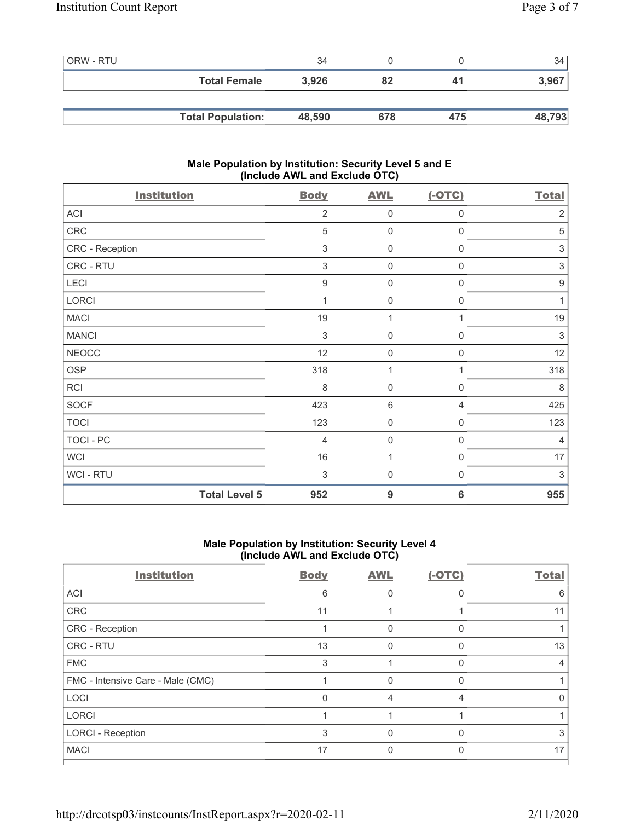| ORW - RTU |                          | 34     |     |     | 34 <sub>1</sub> |
|-----------|--------------------------|--------|-----|-----|-----------------|
|           | <b>Total Female</b>      | 3.926  | 82  | 41  | 3,967           |
|           |                          |        |     |     |                 |
|           | <b>Total Population:</b> | 48,590 | 678 | 475 | 48,793          |

## **Male Population by Institution: Security Level 5 and E (Include AWL and Exclude OTC)**

| <b>Institution</b>   | <b>Body</b>      | <b>AWL</b>          | $(-OTC)$            | <b>Total</b>     |
|----------------------|------------------|---------------------|---------------------|------------------|
| ACI                  | $\overline{2}$   | $\mathbf 0$         | 0                   | $\overline{2}$   |
| ${\sf CRC}$          | 5                | $\mathbf 0$         | $\boldsymbol{0}$    | 5                |
| CRC - Reception      | 3                | $\mathbf 0$         | 0                   | $\sqrt{3}$       |
| CRC - RTU            | $\mathfrak{Z}$   | $\mathsf{O}\xspace$ | 0                   | $\sqrt{3}$       |
| LECI                 | $\boldsymbol{9}$ | $\mathsf{O}\xspace$ | 0                   | $\boldsymbol{9}$ |
| LORCI                | 1                | $\mathbf 0$         | 0                   | 1                |
| <b>MACI</b>          | 19               | 1                   | 1                   | 19               |
| <b>MANCI</b>         | $\mathfrak{S}$   | $\mathbf 0$         | 0                   | 3                |
| <b>NEOCC</b>         | 12               | $\mathsf{O}\xspace$ | 0                   | 12               |
| OSP                  | 318              | 1                   | 1                   | 318              |
| <b>RCI</b>           | 8                | $\mathbf 0$         | $\mathbf 0$         | 8                |
| <b>SOCF</b>          | 423              | $6\,$               | 4                   | 425              |
| <b>TOCI</b>          | 123              | $\mathbf 0$         | $\mathsf{O}\xspace$ | 123              |
| TOCI - PC            | $\overline{4}$   | $\mathsf{O}\xspace$ | $\boldsymbol{0}$    | $\overline{4}$   |
| <b>WCI</b>           | 16               | $\mathbf{1}$        | $\mathbf 0$         | 17               |
| WCI - RTU            | $\sqrt{3}$       | $\mathsf{O}\xspace$ | $\mathbf 0$         | 3                |
| <b>Total Level 5</b> | 952              | 9                   | 6                   | 955              |

## **Male Population by Institution: Security Level 4 (Include AWL and Exclude OTC)**

| <b>Body</b> | <b>AWL</b> | $(-OTC)$ | <b>Total</b> |
|-------------|------------|----------|--------------|
| 6           |            |          | 6            |
| 11          |            |          | 11           |
|             | 0          | 0        |              |
| 13          |            |          | 13           |
| 3           |            |          |              |
|             |            |          |              |
| 0           | 4          |          |              |
|             |            |          |              |
| 3           | 0          | $\Omega$ |              |
| 17          |            |          | 17           |
|             |            |          |              |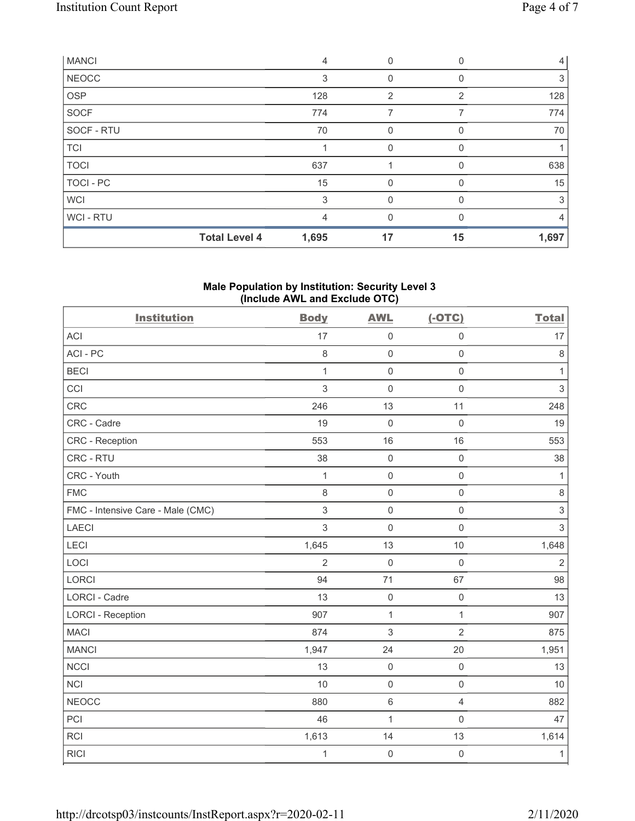| <b>MANCI</b> |                      | $\overline{4}$ | 0        |    | 4     |
|--------------|----------------------|----------------|----------|----|-------|
| <b>NEOCC</b> |                      | 3              | 0        |    | 3     |
| OSP          |                      | 128            | 2        | 2  | 128   |
| <b>SOCF</b>  |                      | 774            | 7        |    | 774   |
| SOCF - RTU   |                      | 70             | 0        | 0  | 70    |
| <b>TCI</b>   |                      |                | $\Omega$ | 0  |       |
| <b>TOCI</b>  |                      | 637            |          |    | 638   |
| TOCI - PC    |                      | 15             | 0        | 0  | 15    |
| <b>WCI</b>   |                      | 3              | 0        |    | 3     |
| WCI - RTU    |                      | 4              | 0        |    | 4     |
|              | <b>Total Level 4</b> | 1,695          | 17       | 15 | 1,697 |

## **Male Population by Institution: Security Level 3 (Include AWL and Exclude OTC)**

| <b>Institution</b>                | <b>Body</b>    | <b>AWL</b>          | $(-OTC)$            | <b>Total</b> |
|-----------------------------------|----------------|---------------------|---------------------|--------------|
| <b>ACI</b>                        | 17             | $\mathbf 0$         | $\mathsf 0$         | 17           |
| ACI-PC                            | 8              | $\mathbf 0$         | $\mathsf{O}\xspace$ | $\,8\,$      |
| <b>BECI</b>                       | $\mathbf{1}$   | $\mathbf 0$         | $\mathsf 0$         | $\mathbf{1}$ |
| CCI                               | 3              | $\mathbf 0$         | $\mathsf 0$         | $\,$ 3 $\,$  |
| CRC                               | 246            | 13                  | 11                  | 248          |
| CRC - Cadre                       | 19             | $\mathsf{O}\xspace$ | $\mathsf 0$         | 19           |
| CRC - Reception                   | 553            | 16                  | 16                  | 553          |
| CRC - RTU                         | 38             | $\mathsf{O}\xspace$ | $\mathsf{O}\xspace$ | 38           |
| CRC - Youth                       | $\mathbf{1}$   | $\mathbf 0$         | $\mathsf{O}\xspace$ | $\mathbf{1}$ |
| <b>FMC</b>                        | 8              | $\mathsf{O}\xspace$ | $\mathsf 0$         | $\,8\,$      |
| FMC - Intensive Care - Male (CMC) | 3              | $\mathsf{O}\xspace$ | $\mathsf 0$         | $\mathsf 3$  |
| <b>LAECI</b>                      | 3              | $\mathbf 0$         | $\mathsf{O}\xspace$ | $\,$ 3 $\,$  |
| LECI                              | 1,645          | 13                  | $10$                | 1,648        |
| LOCI                              | $\overline{c}$ | $\mathbf 0$         | $\mathsf 0$         | $\sqrt{2}$   |
| LORCI                             | 94             | 71                  | 67                  | 98           |
| LORCI - Cadre                     | 13             | $\mathsf{O}\xspace$ | $\mathsf{O}\xspace$ | 13           |
| <b>LORCI - Reception</b>          | 907            | $\mathbf{1}$        | $\mathbf{1}$        | 907          |
| <b>MACI</b>                       | 874            | 3                   | $\overline{2}$      | 875          |
| <b>MANCI</b>                      | 1,947          | 24                  | 20                  | 1,951        |
| <b>NCCI</b>                       | 13             | $\mathsf{O}\xspace$ | $\mathbf 0$         | 13           |
| <b>NCI</b>                        | 10             | $\mathbf 0$         | $\mathsf{O}\xspace$ | 10           |
| <b>NEOCC</b>                      | 880            | $\,6\,$             | $\overline{4}$      | 882          |
| PCI                               | 46             | $\mathbf{1}$        | $\mathsf{O}\xspace$ | 47           |
| <b>RCI</b>                        | 1,613          | 14                  | 13                  | 1,614        |
| <b>RICI</b>                       | $\mathbf{1}$   | $\mathsf{O}\xspace$ | $\mathbf 0$         | $\mathbf 1$  |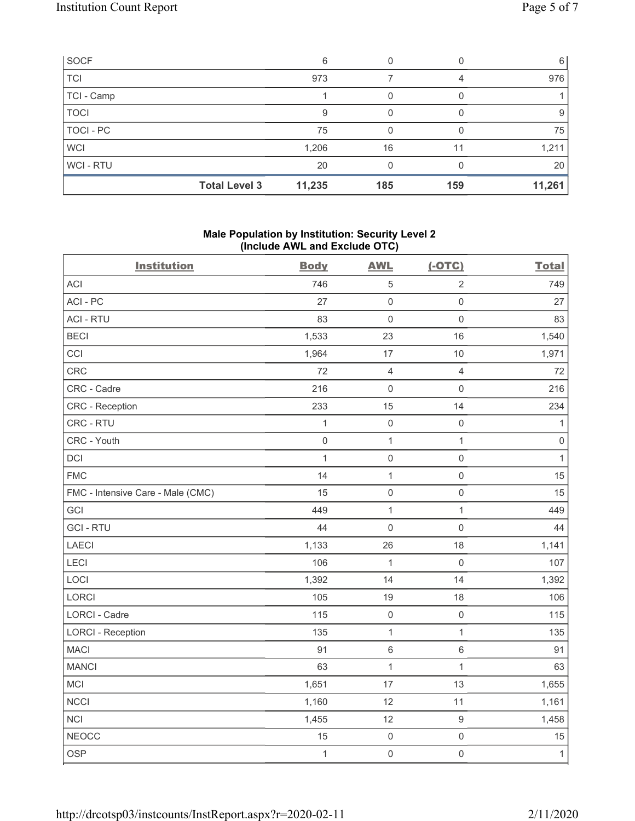| SOCF        |                      | 6      |     |     | 6      |
|-------------|----------------------|--------|-----|-----|--------|
| <b>TCI</b>  |                      | 973    |     | 4   | 976    |
| TCI - Camp  |                      |        |     |     |        |
| <b>TOCI</b> |                      | 9      | 0   |     | 9      |
| TOCI - PC   |                      | 75     |     |     | 75     |
| <b>WCI</b>  |                      | 1,206  | 16  | 11  | 1,211  |
| WCI-RTU     |                      | 20     |     |     | 20     |
|             | <b>Total Level 3</b> | 11,235 | 185 | 159 | 11,261 |

## **Male Population by Institution: Security Level 2 (Include AWL and Exclude OTC)**

| <b>Institution</b>                | <b>Body</b>  | <b>AWL</b>     | $(-OTC)$            | <b>Total</b>        |
|-----------------------------------|--------------|----------------|---------------------|---------------------|
| <b>ACI</b>                        | 746          | $\mathbf 5$    | $\mathbf 2$         | 749                 |
| ACI-PC                            | 27           | $\mathbf 0$    | $\mathsf{O}\xspace$ | 27                  |
| <b>ACI - RTU</b>                  | 83           | $\mathbf 0$    | $\mathsf{O}\xspace$ | 83                  |
| <b>BECI</b>                       | 1,533        | 23             | 16                  | 1,540               |
| CCI                               | 1,964        | 17             | 10                  | 1,971               |
| CRC                               | 72           | $\overline{4}$ | $\overline{4}$      | 72                  |
| CRC - Cadre                       | 216          | $\mathbf 0$    | $\mathsf 0$         | 216                 |
| CRC - Reception                   | 233          | 15             | 14                  | 234                 |
| CRC - RTU                         | $\mathbf{1}$ | $\mathbf 0$    | $\mathsf{O}\xspace$ | $\mathbf{1}$        |
| CRC - Youth                       | $\mathbf 0$  | $\mathbf{1}$   | $\mathbf{1}$        | $\mathsf{O}\xspace$ |
| DCI                               | $\mathbf{1}$ | $\mathbf 0$    | $\mathsf{O}\xspace$ | $\mathbf{1}$        |
| <b>FMC</b>                        | 14           | $\mathbf{1}$   | $\mathsf{O}\xspace$ | 15                  |
| FMC - Intensive Care - Male (CMC) | 15           | $\mathbf 0$    | $\mathsf{O}\xspace$ | 15                  |
| GCI                               | 449          | $\mathbf{1}$   | $\mathbf{1}$        | 449                 |
| <b>GCI-RTU</b>                    | 44           | $\mathbf 0$    | $\mathsf{O}\xspace$ | 44                  |
| <b>LAECI</b>                      | 1,133        | 26             | 18                  | 1,141               |
| LECI                              | 106          | $\mathbf{1}$   | $\mathsf 0$         | 107                 |
| LOCI                              | 1,392        | 14             | 14                  | 1,392               |
| LORCI                             | 105          | 19             | 18                  | 106                 |
| LORCI - Cadre                     | 115          | $\mathbf 0$    | $\mathbf 0$         | 115                 |
| <b>LORCI - Reception</b>          | 135          | $\mathbf{1}$   | $\mathbf{1}$        | 135                 |
| <b>MACI</b>                       | 91           | $\,6\,$        | 6                   | 91                  |
| <b>MANCI</b>                      | 63           | $\mathbf{1}$   | $\mathbf{1}$        | 63                  |
| MCI                               | 1,651        | 17             | 13                  | 1,655               |
| <b>NCCI</b>                       | 1,160        | 12             | 11                  | 1,161               |
| <b>NCI</b>                        | 1,455        | 12             | $\hbox{9}$          | 1,458               |
| <b>NEOCC</b>                      | 15           | $\mathbf 0$    | $\mathsf{O}\xspace$ | 15                  |
| <b>OSP</b>                        | $\mathbf{1}$ | $\mathbf 0$    | $\mathsf{O}\xspace$ | $\mathbf{1}$        |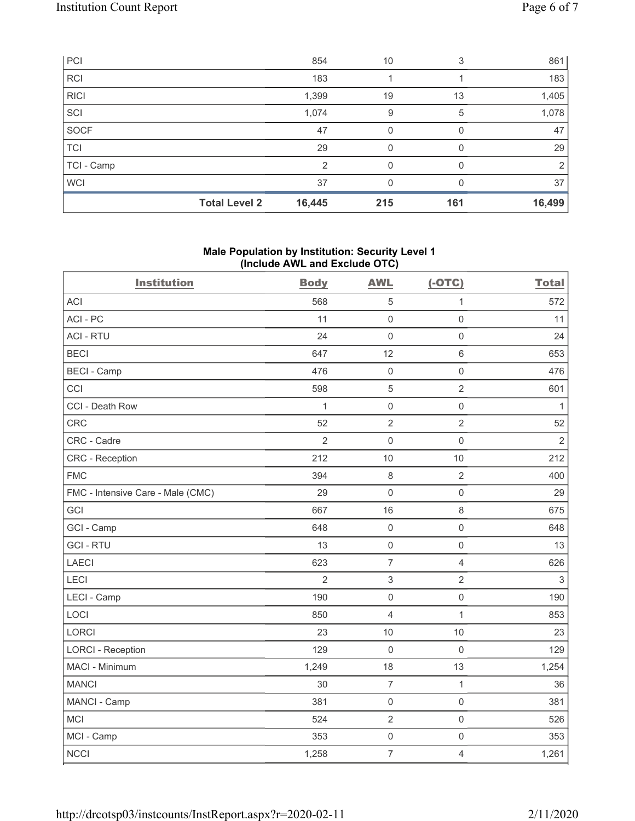| PCI         |                      | 854           | 10  | 3            | 861    |
|-------------|----------------------|---------------|-----|--------------|--------|
| <b>RCI</b>  |                      | 183           |     |              | 183    |
| <b>RICI</b> |                      | 1,399         | 19  | 13           | 1,405  |
| SCI         |                      | 1,074         | 9   | 5            | 1,078  |
| SOCF        |                      | 47            | 0   | 0            | 47     |
| TCI         |                      | 29            | 0   | <sup>0</sup> | 29     |
| TCI - Camp  |                      | $\mathcal{P}$ | 0   | <sup>n</sup> | 2      |
| <b>WCI</b>  |                      | 37            | 0   |              | 37     |
|             | <b>Total Level 2</b> | 16,445        | 215 | 161          | 16,499 |

### **Male Population by Institution: Security Level 1 (Include AWL and Exclude OTC)**

| <b>Institution</b>                | <b>Body</b>    | <b>AWL</b>                | $(-OTC)$            | <b>Total</b>   |
|-----------------------------------|----------------|---------------------------|---------------------|----------------|
| <b>ACI</b>                        | 568            | $\sqrt{5}$                | $\mathbf{1}$        | 572            |
| ACI-PC                            | 11             | $\mathsf{O}\xspace$       | $\mathsf{O}\xspace$ | 11             |
| <b>ACI - RTU</b>                  | 24             | $\mathbf 0$               | $\mathsf 0$         | 24             |
| <b>BECI</b>                       | 647            | 12                        | $\,6\,$             | 653            |
| <b>BECI - Camp</b>                | 476            | $\mathsf{O}\xspace$       | $\mathsf{O}\xspace$ | 476            |
| CCI                               | 598            | $\sqrt{5}$                | $\overline{2}$      | 601            |
| CCI - Death Row                   | $\mathbf{1}$   | $\mathsf 0$               | $\mathsf{O}\xspace$ | $\mathbf{1}$   |
| <b>CRC</b>                        | 52             | $\overline{2}$            | $\overline{2}$      | 52             |
| CRC - Cadre                       | $\overline{2}$ | $\mathbf 0$               | $\mathbf 0$         | $\overline{2}$ |
| <b>CRC</b> - Reception            | 212            | 10                        | 10                  | 212            |
| <b>FMC</b>                        | 394            | $\,8\,$                   | $\overline{2}$      | 400            |
| FMC - Intensive Care - Male (CMC) | 29             | $\mathsf 0$               | $\mathsf{O}\xspace$ | 29             |
| GCI                               | 667            | 16                        | $\,8\,$             | 675            |
| GCI - Camp                        | 648            | $\mathsf 0$               | $\mathsf{O}\xspace$ | 648            |
| <b>GCI-RTU</b>                    | 13             | $\mathsf 0$               | $\mathsf{O}\xspace$ | 13             |
| <b>LAECI</b>                      | 623            | $\overline{7}$            | $\overline{4}$      | 626            |
| LECI                              | $\overline{2}$ | $\ensuremath{\mathsf{3}}$ | $\overline{2}$      | $\,3$          |
| LECI - Camp                       | 190            | $\mathsf 0$               | $\mathsf{O}\xspace$ | 190            |
| LOCI                              | 850            | $\overline{4}$            | $\mathbf{1}$        | 853            |
| <b>LORCI</b>                      | 23             | 10                        | 10                  | 23             |
| <b>LORCI - Reception</b>          | 129            | $\mathsf{O}\xspace$       | $\mathbf 0$         | 129            |
| MACI - Minimum                    | 1,249          | 18                        | 13                  | 1,254          |
| <b>MANCI</b>                      | 30             | $\overline{7}$            | $\mathbf{1}$        | 36             |
| MANCI - Camp                      | 381            | $\mathsf{O}\xspace$       | $\mathsf{O}\xspace$ | 381            |
| <b>MCI</b>                        | 524            | $\overline{2}$            | $\mathsf{O}\xspace$ | 526            |
| MCI - Camp                        | 353            | $\mathsf{O}\xspace$       | $\mathsf 0$         | 353            |
| <b>NCCI</b>                       | 1,258          | $\overline{7}$            | $\overline{4}$      | 1,261          |